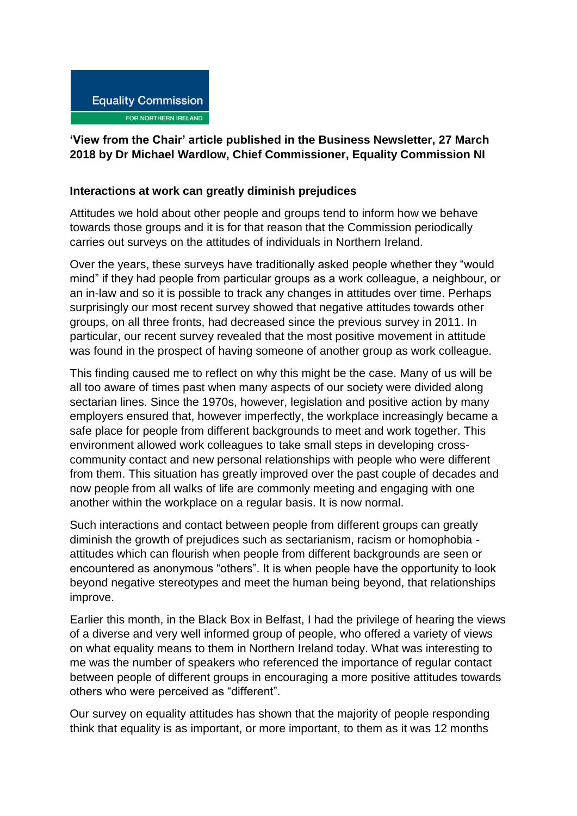## **Equality Commission** FOR NORTHERN IRELAND

## **'View from the Chair' article published in the Business Newsletter, 27 March 2018 by Dr Michael Wardlow, Chief Commissioner, Equality Commission NI**

## **Interactions at work can greatly diminish prejudices**

Attitudes we hold about other people and groups tend to inform how we behave towards those groups and it is for that reason that the Commission periodically carries out surveys on the attitudes of individuals in Northern Ireland.

Over the years, these surveys have traditionally asked people whether they "would mind" if they had people from particular groups as a work colleague, a neighbour, or an in-law and so it is possible to track any changes in attitudes over time. Perhaps surprisingly our most recent survey showed that negative attitudes towards other groups, on all three fronts, had decreased since the previous survey in 2011. In particular, our recent survey revealed that the most positive movement in attitude was found in the prospect of having someone of another group as work colleague.

This finding caused me to reflect on why this might be the case. Many of us will be all too aware of times past when many aspects of our society were divided along sectarian lines. Since the 1970s, however, legislation and positive action by many employers ensured that, however imperfectly, the workplace increasingly became a safe place for people from different backgrounds to meet and work together. This environment allowed work colleagues to take small steps in developing crosscommunity contact and new personal relationships with people who were different from them. This situation has greatly improved over the past couple of decades and now people from all walks of life are commonly meeting and engaging with one another within the workplace on a regular basis. It is now normal.

Such interactions and contact between people from different groups can greatly diminish the growth of prejudices such as sectarianism, racism or homophobia attitudes which can flourish when people from different backgrounds are seen or encountered as anonymous "others". It is when people have the opportunity to look beyond negative stereotypes and meet the human being beyond, that relationships improve.

Earlier this month, in the Black Box in Belfast, I had the privilege of hearing the views of a diverse and very well informed group of people, who offered a variety of views on what equality means to them in Northern Ireland today. What was interesting to me was the number of speakers who referenced the importance of regular contact between people of different groups in encouraging a more positive attitudes towards others who were perceived as "different".

Our survey on equality attitudes has shown that the majority of people responding think that equality is as important, or more important, to them as it was 12 months